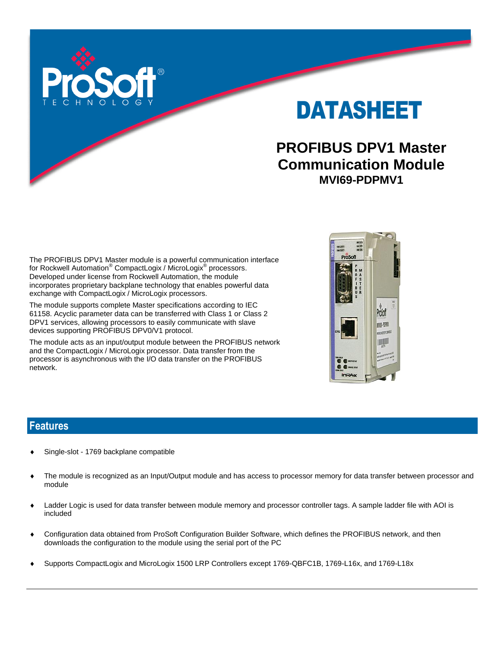

DATASHEET

# **PROFIBUS DPV1 Master Communication Module MVI69-PDPMV1**

The PROFIBUS DPV1 Master module is a powerful communication interface for Rockwell Automation® CompactLogix / MicroLogix® processors. Developed under license from Rockwell Automation, the module incorporates proprietary backplane technology that enables powerful data exchange with CompactLogix / MicroLogix processors.

The module supports complete Master specifications according to IEC 61158. Acyclic parameter data can be transferred with Class 1 or Class 2 DPV1 services, allowing processors to easily communicate with slave devices supporting PROFIBUS DPV0/V1 protocol.

The module acts as an input/output module between the PROFIBUS network and the CompactLogix / MicroLogix processor. Data transfer from the processor is asynchronous with the I/O data transfer on the PROFIBUS network.



### **Features**

- Single-slot 1769 backplane compatible
- The module is recognized as an Input/Output module and has access to processor memory for data transfer between processor and module
- Ladder Logic is used for data transfer between module memory and processor controller tags. A sample ladder file with AOI is included
- Configuration data obtained from ProSoft Configuration Builder Software, which defines the PROFIBUS network, and then downloads the configuration to the module using the serial port of the PC
- Supports CompactLogix and MicroLogix 1500 LRP Controllers except 1769-QBFC1B, 1769-L16x, and 1769-L18x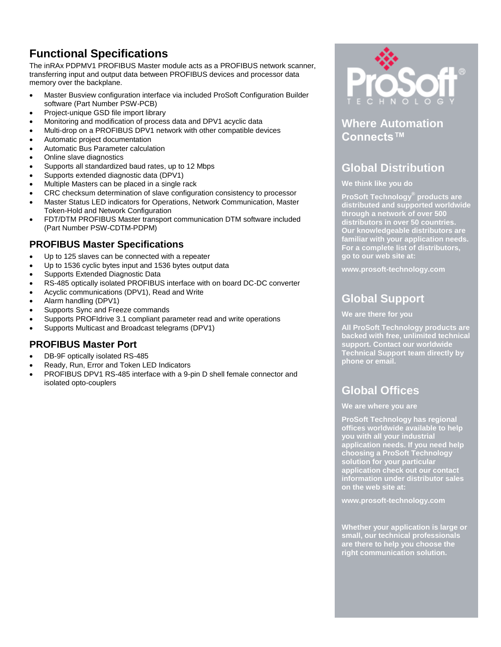# **Functional Specifications**

The inRAx PDPMV1 PROFIBUS Master module acts as a PROFIBUS network scanner, transferring input and output data between PROFIBUS devices and processor data memory over the backplane.

- Master Busview configuration interface via included ProSoft Configuration Builder software (Part Number PSW-PCB)
- Project-unique GSD file import library
- Monitoring and modification of process data and DPV1 acyclic data
- Multi-drop on a PROFIBUS DPV1 network with other compatible devices
- Automatic project documentation
- Automatic Bus Parameter calculation
- Online slave diagnostics
- Supports all standardized baud rates, up to 12 Mbps
- Supports extended diagnostic data (DPV1)
- Multiple Masters can be placed in a single rack
- CRC checksum determination of slave configuration consistency to processor
- Master Status LED indicators for Operations, Network Communication, Master Token-Hold and Network Configuration
- FDT/DTM PROFIBUS Master transport communication DTM software included (Part Number PSW-CDTM-PDPM)

### **PROFIBUS Master Specifications**

- Up to 125 slaves can be connected with a repeater
- Up to 1536 cyclic bytes input and 1536 bytes output data
- Supports Extended Diagnostic Data
- RS-485 optically isolated PROFIBUS interface with on board DC-DC converter
- Acyclic communications (DPV1), Read and Write
- Alarm handling (DPV1)
- Supports Sync and Freeze commands
- Supports PROFIdrive 3.1 compliant parameter read and write operations
- Supports Multicast and Broadcast telegrams (DPV1)

### **PROFIBUS Master Port**

- DB-9F optically isolated RS-485
- Ready, Run, Error and Token LED Indicators
- PROFIBUS DPV1 RS-485 interface with a 9-pin D shell female connector and isolated opto-couplers



### **Where Automation Connects™**

# **Global Distribution**

#### **We think like you do**

**ProSoft Technology® products are distributed and supported worldwide through a network of over 500 distributors in over 50 countries. Our knowledgeable distributors are familiar with your application needs. For a complete list of distributors, go to our web site at:**

**www.prosoft-technology.com**

### **Global Support**

#### **We are there for you**

**All ProSoft Technology products are backed with free, unlimited technical support. Contact our worldwide Technical Support team directly by phone or email.**

## **Global Offices**

#### **We are where you are**

**ProSoft Technology has regional offices worldwide available to help you with all your industrial application needs. If you need help choosing a ProSoft Technology solution for your particular application check out our contact information under distributor sales on the web site at:**

**www.prosoft-technology.com**

**Whether your application is large or small, our technical professionals are there to help you choose the right communication solution.**